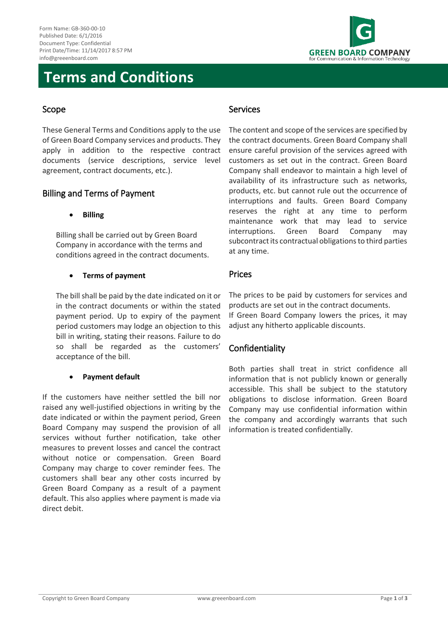

# **Terms and Conditions**

### Scope

These General Terms and Conditions apply to the use of Green Board Company services and products. They apply in addition to the respective contract documents (service descriptions, service level agreement, contract documents, etc.).

### Billing and Terms of Payment

**Billing**

Billing shall be carried out by Green Board Company in accordance with the terms and conditions agreed in the contract documents.

#### **Terms of payment**

The bill shall be paid by the date indicated on it or in the contract documents or within the stated payment period. Up to expiry of the payment period customers may lodge an objection to this bill in writing, stating their reasons. Failure to do so shall be regarded as the customers' acceptance of the bill.

#### **Payment default**

If the customers have neither settled the bill nor raised any well-justified objections in writing by the date indicated or within the payment period, Green Board Company may suspend the provision of all services without further notification, take other measures to prevent losses and cancel the contract without notice or compensation. Green Board Company may charge to cover reminder fees. The customers shall bear any other costs incurred by Green Board Company as a result of a payment default. This also applies where payment is made via direct debit.

#### Services

The content and scope of the services are specified by the contract documents. Green Board Company shall ensure careful provision of the services agreed with customers as set out in the contract. Green Board Company shall endeavor to maintain a high level of availability of its infrastructure such as networks, products, etc. but cannot rule out the occurrence of interruptions and faults. Green Board Company reserves the right at any time to perform maintenance work that may lead to service interruptions. Green Board Company may subcontract its contractual obligations to third parties at any time.

#### Prices

The prices to be paid by customers for services and products are set out in the contract documents. If Green Board Company lowers the prices, it may adjust any hitherto applicable discounts.

## Confidentiality

Both parties shall treat in strict confidence all information that is not publicly known or generally accessible. This shall be subject to the statutory obligations to disclose information. Green Board Company may use confidential information within the company and accordingly warrants that such information is treated confidentially.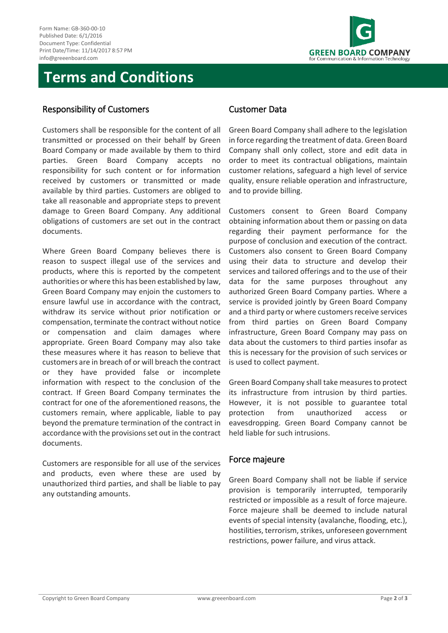

# **Terms and Conditions**

#### Responsibility of Customers

Customers shall be responsible for the content of all transmitted or processed on their behalf by Green Board Company or made available by them to third parties. Green Board Company accepts no responsibility for such content or for information received by customers or transmitted or made available by third parties. Customers are obliged to take all reasonable and appropriate steps to prevent damage to Green Board Company. Any additional obligations of customers are set out in the contract documents.

Where Green Board Company believes there is reason to suspect illegal use of the services and products, where this is reported by the competent authorities or where this has been established by law, Green Board Company may enjoin the customers to ensure lawful use in accordance with the contract, withdraw its service without prior notification or compensation, terminate the contract without notice or compensation and claim damages where appropriate. Green Board Company may also take these measures where it has reason to believe that customers are in breach of or will breach the contract or they have provided false or incomplete information with respect to the conclusion of the contract. If Green Board Company terminates the contract for one of the aforementioned reasons, the customers remain, where applicable, liable to pay beyond the premature termination of the contract in accordance with the provisions set out in the contract documents.

Customers are responsible for all use of the services and products, even where these are used by unauthorized third parties, and shall be liable to pay any outstanding amounts.

#### Customer Data

Green Board Company shall adhere to the legislation in force regarding the treatment of data. Green Board Company shall only collect, store and edit data in order to meet its contractual obligations, maintain customer relations, safeguard a high level of service quality, ensure reliable operation and infrastructure, and to provide billing.

Customers consent to Green Board Company obtaining information about them or passing on data regarding their payment performance for the purpose of conclusion and execution of the contract. Customers also consent to Green Board Company using their data to structure and develop their services and tailored offerings and to the use of their data for the same purposes throughout any authorized Green Board Company parties. Where a service is provided jointly by Green Board Company and a third party or where customers receive services from third parties on Green Board Company infrastructure, Green Board Company may pass on data about the customers to third parties insofar as this is necessary for the provision of such services or is used to collect payment.

Green Board Company shall take measures to protect its infrastructure from intrusion by third parties. However, it is not possible to guarantee total protection from unauthorized access or eavesdropping. Green Board Company cannot be held liable for such intrusions.

#### Force majeure

Green Board Company shall not be liable if service provision is temporarily interrupted, temporarily restricted or impossible as a result of force majeure. Force majeure shall be deemed to include natural events of special intensity (avalanche, flooding, etc.), hostilities, terrorism, strikes, unforeseen government restrictions, power failure, and virus attack.